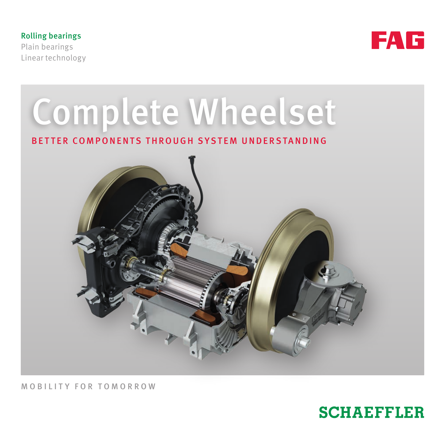Rolling bearings Plain bearings Linear technology





MOBILITY FOR TOMORROW

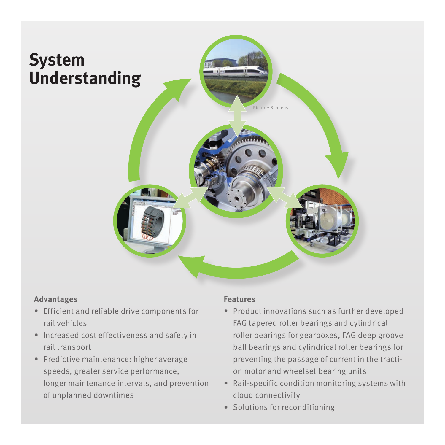

#### **Advantages**

- Efficient and reliable drive components for rail vehicles
- Increased cost effectiveness and safety in rail transport
- Predictive maintenance: higher average speeds, greater service performance, longer maintenance intervals, and prevention of unplanned downtimes

#### **Features**

- Product innovations such as further developed FAG tapered roller bearings and cylindrical roller bearings for gearboxes, FAG deep groove ball bearings and cylindrical roller bearings for preventing the passage of current in the traction motor and wheelset bearing units
- Rail-specific condition monitoring systems with cloud connectivity
- Solutions for reconditioning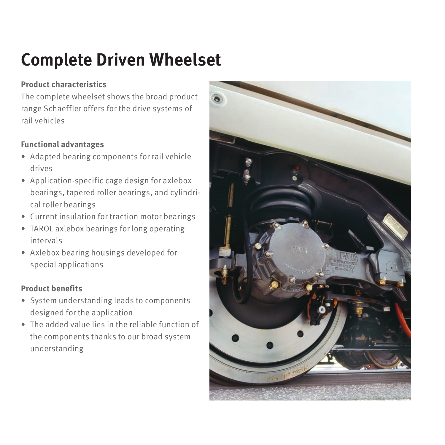## **Complete Driven Wheelset**

#### **Product characteristics**

The complete wheelset shows the broad product range Schaeffler offers for the drive systems of rail vehicles

#### **Functional advantages**

- Adapted bearing components for rail vehicle drives
- Application-specific cage design for axlebox bearings, tapered roller bearings, and cylindrical roller bearings
- Current insulation for traction motor bearings
- TAROL axlebox bearings for long operating intervals
- Axlebox bearing housings developed for special applications

#### **Product benefits**

- System understanding leads to components designed for the application
- The added value lies in the reliable function of the components thanks to our broad system understanding

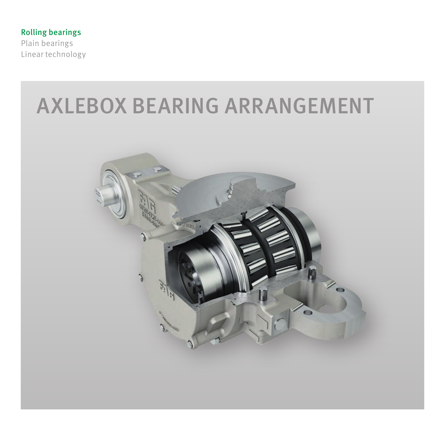Rolling bearings

Plain bearings Linear technology

## AXLEBOX BEARING ARRANGEMENT

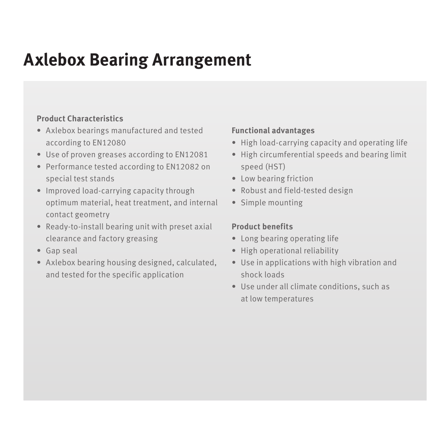### **Axlebox Bearing Arrangement**

#### **Product Characteristics**

- Axlebox bearings manufactured and tested according to EN12080
- Use of proven greases according to EN12081
- Performance tested according to EN12082 on special test stands
- Improved load-carrying capacity through optimum material, heat treatment, and internal contact geometry
- Ready-to-install bearing unit with preset axial clearance and factory greasing
- Gap seal
- Axlebox bearing housing designed, calculated, and tested for the specific application

#### **Functional advantages**

- High load-carrying capacity and operating life
- High circumferential speeds and bearing limit speed (HST)
- Low bearing friction
- Robust and field-tested design
- Simple mounting

#### **Product benefits**

- Long bearing operating life
- High operational reliability
- Use in applications with high vibration and shock loads
- Use under all climate conditions, such as at low temperatures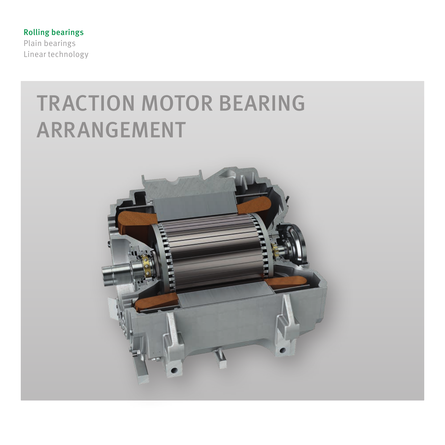Rolling bearings Plain bearings Linear technology

# TRACTION MOTOR BEARING ARRANGEMENT

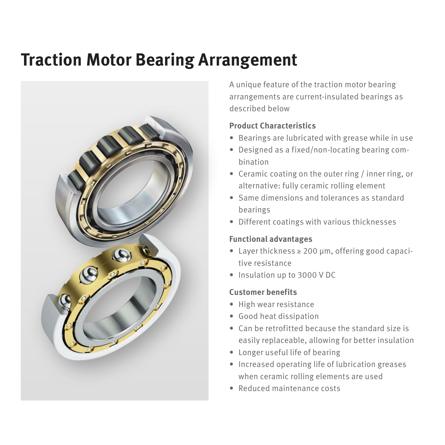### **Traction Motor Bearing Arrangement**



A unique feature of the traction motor bearing arrangements are current-insulated bearings as described below

#### **Product Characteristics**

- Bearings are lubricated with grease while in use
- Designed as a fixed/non-locating bearing combination
- Ceramic coating on the outer ring / inner ring, or alternative: fully ceramic rolling element
- Same dimensions and tolerances as standard bearings
- Different coatings with various thicknesses

#### **Functional advantages**

- Layer thickness ≥ 200 µm, offering good capacitive resistance
- Insulation up to 3000 V DC

#### **Customer benefits**

- High wear resistance
- Good heat dissipation
- Can be retrofitted because the standard size is easily replaceable, allowing for better insulation
- Longer useful life of bearing
- Increased operating life of lubrication greases when ceramic rolling elements are used
- Reduced maintenance costs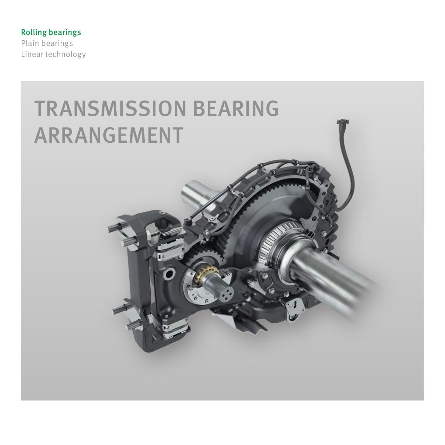Rolling bearings Plain bearings Linear technology

> TRANSMISSION BEARING ARRANGEMENT